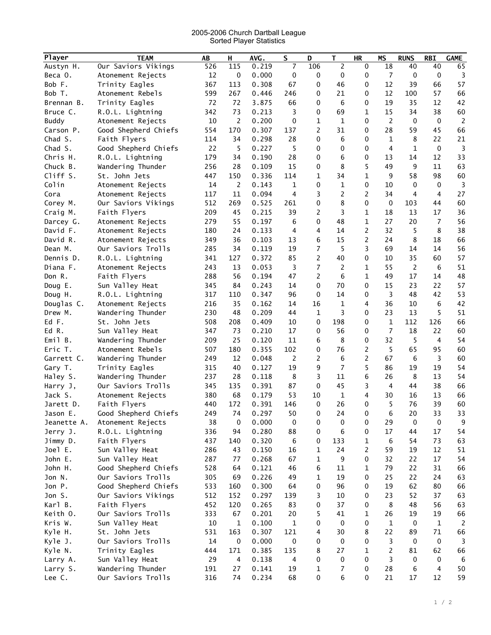## 2005-2006 Church Dartball League Sorted Player Statistics

| Player       | <b>TEAM</b>          | AB     | н              | AVG.  | $\mathsf S$    | D              | T.             | <b>HR</b>      | <b>MS</b>       | <b>RUNS</b>    | <b>RBI</b>     | <b>GAME</b>    |
|--------------|----------------------|--------|----------------|-------|----------------|----------------|----------------|----------------|-----------------|----------------|----------------|----------------|
| Austyn H.    | Our Saviors Vikings  | 526    | 115            | 0.219 | 7              | 106            | 2              | 0              | $\overline{18}$ | 40             | 40             | 65             |
| Beca O.      | Atonement Rejects    | 12     | $\mathbf 0$    | 0.000 | 0              | 0              | 0              | 0              | $\overline{7}$  | $\mathbf 0$    | $\mathbf 0$    | 3              |
| Bob F.       | Trinity Eagles       | 367    | 113            | 0.308 | 67             | 0              | 46             | 0              | 12              | 39             | 66             | 57             |
| Bob T.       | Atonement Rebels     | 599    | 267            | 0.446 | 246            | 0              | 21             | 0              | 12              | 100            | 57             | 66             |
| Brennan B.   | Trinity Eagles       | 72     | 72             | 3.875 | 66             | 0              | 6              | 0              | 19              | 35             | 12             | 42             |
| Bruce C.     | R.O.L. Lightning     | 342    | 73             | 0.213 | 3              | 0              | 69             | 1              | 15              | 34             | 38             | 60             |
| <b>Buddy</b> | Atonement Rejects    | 10     | 2              | 0.200 | 0              | $\mathbf{1}$   | $\mathbf 1$    | 0              | 2               | 0              | $\mathbf 0$    | $\overline{2}$ |
| Carson P.    | Good Shepherd Chiefs | 554    | 170            | 0.307 | 137            | $\overline{2}$ | 31             | 0              | 28              | 59             | 45             | 66             |
| Chad S.      | Faith Flyers         | 114    | 34             | 0.298 | 28             | 0              | 6              | 0              | 1               | 8              | 22             | 21             |
|              |                      |        |                |       |                |                |                |                | 4               | $\mathbf{1}$   | $\mathbf 0$    | $\overline{3}$ |
| Chad S.      | Good Shepherd Chiefs | 22     | 5              | 0.227 | 5              | 0              | 0              | 0              |                 |                |                |                |
| Chris H.     | R.O.L. Lightning     | 179    | 34             | 0.190 | 28             | 0              | 6              | 0              | 13              | 14             | 12             | 33             |
| Chuck B.     | Wandering Thunder    | 256    | 28             | 0.109 | 15             | 0              | 8              | 5              | 49              | 9              | 11             | 63             |
| Cliff S.     | St. John Jets        | 447    | 150            | 0.336 | 114            | $\mathbf{1}$   | 34             | $\mathbf 1$    | 9               | 58             | 98             | 60             |
| Colin        | Atonement Rejects    | 14     | $\overline{2}$ | 0.143 | $\mathbf{1}$   | 0              | 1              | 0              | 10              | 0              | 0              | 3              |
| Cora         | Atonement Rejects    | 117    | 11             | 0.094 | 4              | 3              | 2              | 2              | 34              | 4              | 4              | 27             |
| Corey M.     | Our Saviors Vikings  | 512    | 269            | 0.525 | 261            | 0              | 8              | 0              | $\mathbf 0$     | 103            | 44             | 60             |
| Craig M.     | Faith Flyers         | 209    | 45             | 0.215 | 39             | 2              | 3              | 1              | 18              | 13             | 17             | 36             |
| Darcey G.    | Atonement Rejects    | 279    | 55             | 0.197 | 6              | 0              | 48             | 1              | 27              | 20             | 7              | 56             |
| David F.     | Atonement Rejects    | 180    | 24             | 0.133 | 4              | 4              | 14             | 2              | 32              | 5              | 8              | 38             |
| David R.     | Atonement Rejects    | 349    | 36             | 0.103 | 13             | 6              | 15             | 2              | 24              | 8              | 18             | 66             |
| Dean M.      | Our Saviors Trolls   | 285    | 34             | 0.119 | 19             | $\overline{7}$ | 5              | 3              | 69              | 14             | 14             | 56             |
| Dennis D.    | R.O.L. Lightning     | 341    | 127            | 0.372 | 85             | $\overline{c}$ | 40             | 0              | 10              | 35             | 60             | 57             |
| Diana F.     | Atonement Rejects    | 243    | 13             | 0.053 | 3              | $\overline{7}$ | 2              | $\mathbf 1$    | 55              | $\overline{2}$ | 6              | 51             |
| Don R.       | Faith Flyers         | 288    | 56             | 0.194 | 47             | $\overline{c}$ | 6              | $\mathbf{1}$   | 49              | 17             | 14             | 48             |
| Doug E.      | Sun Valley Heat      | 345    | 84             | 0.243 | 14             | $\mathbf 0$    | 70             | 0              | 15              | 23             | 22             | 57             |
| Doug H.      | R.O.L. Lightning     | 317    | 110            | 0.347 | 96             | 0              | 14             | 0              | 3               | 48             | 42             | 53             |
| Douglas C.   | Atonement Rejects    | 216    | 35             | 0.162 | 14             | 16             | 1              | 4              | 36              | 10             | 6              | 42             |
| Drew M.      | Wandering Thunder    | 230    | 48             | 0.209 | 44             | $\mathbf{1}$   | 3              | 0              | 23              | 13             | 5              | 51             |
| Ed F.        | St. John Jets        | 508    | 208            | 0.409 | 10             | 0              | 198            | 0              | $\mathbf{1}$    | 112            | 126            | 66             |
| Ed R.        | Sun Valley Heat      | 347    | 73             | 0.210 | 17             | 0              | 56             | 0              | $\overline{7}$  | 18             | 22             | 60             |
| Emil B.      | Wandering Thunder    | 209    | 25             | 0.120 | 11             | 6              | 8              | 0              | 32              | 5              | $\overline{4}$ | 54             |
| Eric T.      | Atonement Rebels     | 507    | 180            | 0.355 | 102            | 0              | 76             | $\overline{c}$ | 5               | 65             | 95             | 60             |
| Garrett C.   | Wandering Thunder    | 249    | 12             | 0.048 | $\overline{c}$ | $\overline{c}$ | 6              | $\overline{c}$ | 67              | 6              | 3              | 60             |
| Gary T.      | Trinity Eagles       | 315    | 40             | 0.127 | 19             | 9              | $\overline{7}$ | 5              | 86              | 19             | 19             | 54             |
| Haley S.     | Wandering Thunder    | 237    | 28             | 0.118 | 8              | 3              | 11             | 6              | 26              | 8              | 13             | 54             |
| Harry J,     | Our Saviors Trolls   | 345    | 135            | 0.391 | 87             | 0              | 45             | 3              | 4               | 44             | 38             | 66             |
| Jack S.      | Atonement Rejects    | 380    | 68             | 0.179 | 53             | 10             | 1              | 4              | 30              | 16             | 13             | 66             |
| Jarett D.    | Faith Flyers         | 440    | 172            | 0.391 | 146            | 0              | 26             | 0              | 5               | 76             | 39             | 60             |
| Jason E.     | Good Shepherd Chiefs | 249    | 74             | 0.297 | 50             | 0              | 24             | 0              | 6               | 20             | 33             | 33             |
| Jeanette A.  | Atonement Rejects    | 38     | 0              | 0.000 | 0              | 0              | 0              | 0              | 29              | 0              | $\mathbf 0$    | 9              |
| Jerry J.     | R.O.L. Lightning     | 336    | 94             | 0.280 | 88             | 0              | 6              | 0              | 17              | 44             | 17             | 54             |
| Jimmy D.     | Faith Flyers         | 437    | 140            | 0.320 | 6              | 0              | 133            | 1              | 6               | 54             | 73             | 63             |
| Joel E.      | Sun Valley Heat      | 286    | 43             | 0.150 | 16             | $\mathbf{1}$   | 24             | $\overline{2}$ | 59              | 19             | 12             | 51             |
| John E.      | Sun Valley Heat      | 287    | 77             | 0.268 | 67             | $\mathbf{1}$   | 9              | 0              | 32              | 22             | 17             | 54             |
| John H.      | Good Shepherd Chiefs | 528    | 64             | 0.121 | 46             | 6              | 11             | 1              | 79              | 22             | 31             | 66             |
| Jon N.       | Our Saviors Trolls   | 305    | 69             | 0.226 | 49             | 1              | 19             | 0              | 25              | 22             | 24             | 63             |
| Jon P.       | Good Shepherd Chiefs | 533    | 160            | 0.300 | 64             | 0              | 96             | 0              | 19              | 62             | 80             | 66             |
| Jon S.       | Our Saviors Vikings  | 512    | 152            | 0.297 | 139            | 3              | 10             | 0              | 23              | 52             | 37             | 63             |
| Karl B.      | Faith Flyers         | 452    | 120            | 0.265 | 83             | 0              | 37             | 0              | 8               | 48             | 56             | 63             |
| Keith O.     | Our Saviors Trolls   | 333    | 67             | 0.201 | 20             | 5              | 41             | 1              | 26              | 19             | 19             | 66             |
| Kris W.      | Sun Valley Heat      | $10\,$ | $\mathbf{1}$   | 0.100 | $\mathbf{1}$   | 0              | 0              | 0              | 1               | $\mathbf 0$    | $\mathbf 1$    | 2              |
| Kyle H.      | St. John Jets        | 531    | 163            | 0.307 | 121            | 4              | 30             | 8              | 22              | 89             | 71             | 66             |
| Kyle J.      | Our Saviors Trolls   | 14     | $\mathbf 0$    | 0.000 | $\pmb{0}$      | 0              | 0              | 0              | 3               | $\mathbf 0$    | $\mathbf 0$    | $\overline{3}$ |
| Kyle N.      | Trinity Eagles       | 444    | 171            | 0.385 | 135            | 8              | 27             | 1              | 2               | 81             | 62             | 66             |
| Larry A.     | Sun Valley Heat      | 29     | 4              | 0.138 | 4              | 0              | 0              | 0              | 3               | 0              | 0              | 6              |
| Larry S.     | Wandering Thunder    | 191    | 27             | 0.141 | 19             | $\mathbf{1}$   | 7              | 0              | 28              | 6              | 4              | 50             |
| Lee C.       | Our Saviors Trolls   | 316    | 74             | 0.234 | 68             | $\pmb{0}$      | 6              | 0              | 21              | 17             | 12             | 59             |
|              |                      |        |                |       |                |                |                |                |                 |                |                |                |